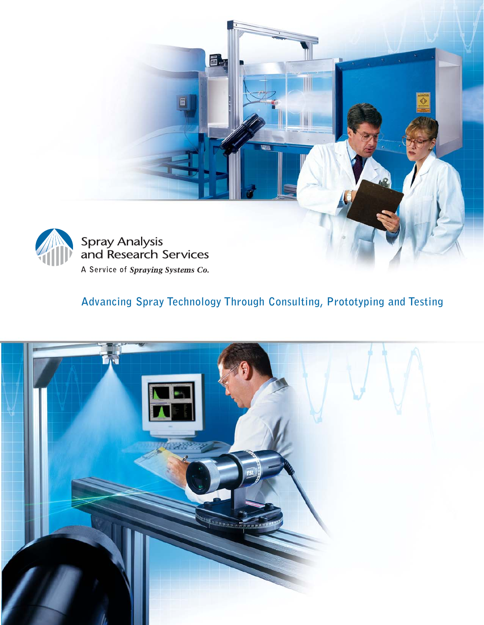

### **Advancing Spray Technology Through Consulting, Prototyping and Testing**

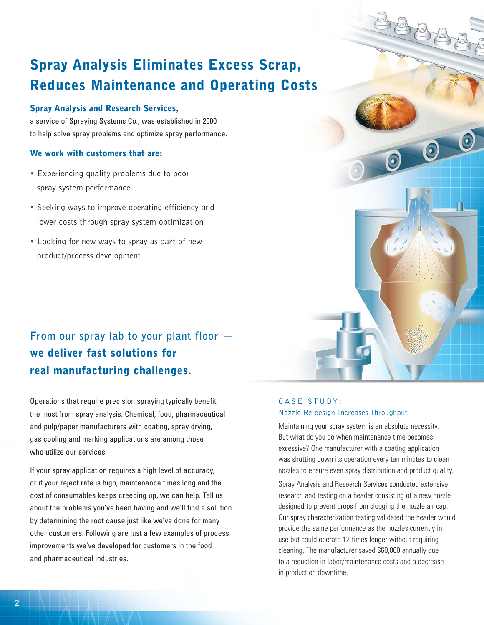## **Spray Analysis Eliminates Excess Scrap, Reduces Maintenance and Operating Costs**

#### **Spray Analysis and Research Services,**

a service of Spraying Systems Co., was established in 2000 to help solve spray problems and optimize spray performance.

#### **We work with customers that are:**

- Experiencing quality problems due to poor spray system performance
- Seeking ways to improve operating efficiency and lower costs through spray system optimization
- Looking for new ways to spray as part of new product/process development

### **From our spray lab to your plant floor we deliver fast solutions for real manufacturing challenges.**

Operations that require precision spraying typically benefit the most from spray analysis. Chemical, food, pharmaceutical and pulp/paper manufacturers with coating, spray drying, gas cooling and marking applications are among those who utilize our services.

If your spray application requires a high level of accuracy, or if your reject rate is high, maintenance times long and the cost of consumables keeps creeping up, we can help. Tell us about the problems you've been having and we'll find a solution by determining the root cause just like we've done for many other customers. Following are just a few examples of process improvements we've developed for customers in the food and pharmaceutical industries.

#### CASE STUDY: Nozzle Re-design Increases Throughput

Maintaining your spray system is an absolute necessity. But what do you do when maintenance time becomes excessive? One manufacturer with a coating application was shutting down its operation every ten minutes to clean nozzles to ensure even spray distribution and product quality.

Spray Analysis and Research Services conducted extensive research and testing on a header consisting of a new nozzle designed to prevent drops from clogging the nozzle air cap. Our spray characterization testing validated the header would provide the same performance as the nozzles currently in use but could operate 12 times longer without requiring cleaning. The manufacturer saved \$60,000 annually due to a reduction in labor/maintenance costs and a decrease in production downtime.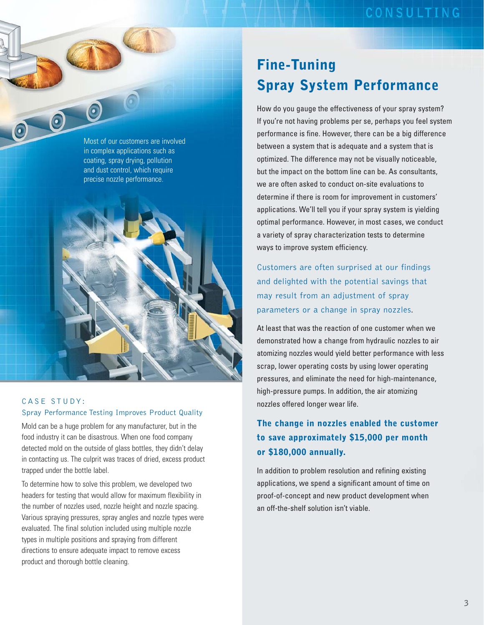

 $\odot$ 

 $\bigcirc$ 



#### CASE STUDY: Spray Performance Testing Improves Product Quality

Mold can be a huge problem for any manufacturer, but in the food industry it can be disastrous. When one food company detected mold on the outside of glass bottles, they didn't delay in contacting us. The culprit was traces of dried, excess product trapped under the bottle label.

To determine how to solve this problem, we developed two headers for testing that would allow for maximum flexibility in the number of nozzles used, nozzle height and nozzle spacing. Various spraying pressures, spray angles and nozzle types were evaluated. The final solution included using multiple nozzle types in multiple positions and spraying from different directions to ensure adequate impact to remove excess product and thorough bottle cleaning.

### **Fine-Tuning Spray System Performance**

How do you gauge the effectiveness of your spray system? If you're not having problems per se, perhaps you feel system performance is fine. However, there can be a big difference between a system that is adequate and a system that is optimized. The difference may not be visually noticeable, but the impact on the bottom line can be. As consultants, we are often asked to conduct on-site evaluations to determine if there is room for improvement in customers' applications. We'll tell you if your spray system is yielding optimal performance. However, in most cases, we conduct a variety of spray characterization tests to determine ways to improve system efficiency.

Customers are often surprised at our findings and delighted with the potential savings that may result from an adjustment of spray parameters or a change in spray nozzles.

At least that was the reaction of one customer when we demonstrated how a change from hydraulic nozzles to air atomizing nozzles would yield better performance with less scrap, lower operating costs by using lower operating pressures, and eliminate the need for high-maintenance, high-pressure pumps. In addition, the air atomizing nozzles offered longer wear life.

#### **The change in nozzles enabled the customer to save approximately \$15,000 per month or \$180,000 annually.**

In addition to problem resolution and refining existing applications, we spend a significant amount of time on proof-of-concept and new product development when an off-the-shelf solution isn't viable.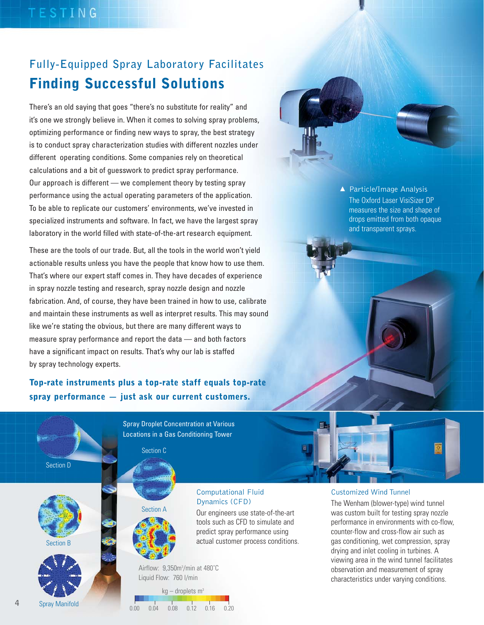### **Fully-Equipped Spray Laboratory Facilitates Finding Successful Solutions**

There's an old saying that goes "there's no substitute for reality" and it's one we strongly believe in. When it comes to solving spray problems, optimizing performance or finding new ways to spray, the best strategy is to conduct spray characterization studies with different nozzles under different operating conditions. Some companies rely on theoretical calculations and a bit of guesswork to predict spray performance. Our approach is different — we complement theory by testing spray performance using the actual operating parameters of the application. To be able to replicate our customers' environments, we've invested in specialized instruments and software. In fact, we have the largest spray laboratory in the world filled with state-of-the-art research equipment.

These are the tools of our trade. But, all the tools in the world won't yield actionable results unless you have the people that know how to use them. That's where our expert staff comes in. They have decades of experience in spray nozzle testing and research, spray nozzle design and nozzle fabrication. And, of course, they have been trained in how to use, calibrate and maintain these instruments as well as interpret results. This may sound like we're stating the obvious, but there are many different ways to measure spray performance and report the data — and both factors have a significant impact on results. That's why our lab is staffed by spray technology experts.

**Top-rate instruments plus a top-rate staff equals top-rate spray performance — just ask our current customers.**

Section D







Spray Droplet Concentration at Various Locations in a Gas Conditioning Tower

Section C

Section A



Our engineers use state-of-the-art tools such as CFD to simulate and predict spray performance using actual customer process conditions.

Airflow: 9,350m<sup>3</sup>/min at 480°C Liquid Flow: 760 l/min

 $kg$  – droplets m<sup>3</sup> 0.00 0.04 0.08 0.12 0.16 0.20 Spray Manifold



#### Customized Wind Tunnel

The Wenham (blower-type) wind tunnel was custom built for testing spray nozzle performance in environments with co-flow, counter-flow and cross-flow air such as gas conditioning, wet compression, spray drying and inlet cooling in turbines. A viewing area in the wind tunnel facilitates observation and measurement of spray characteristics under varying conditions.

▲ Particle/Image Analysis The Oxford Laser VisiSizer DP measures the size and shape of drops emitted from both opaque and transparent sprays.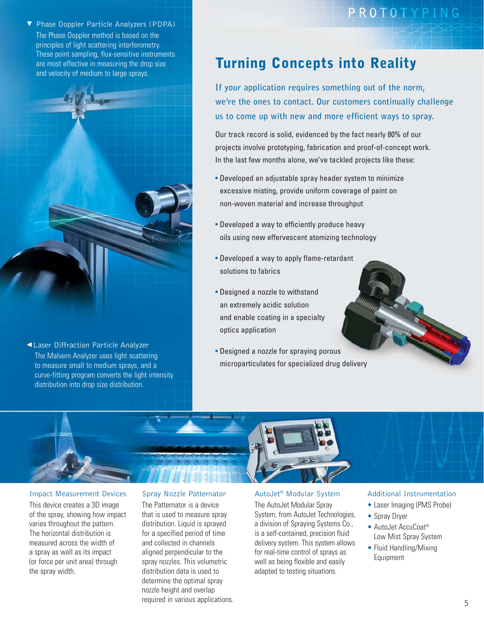▼ Phase Doppler Particle Analyzers (PDPA) The Phase Doppler method is based on the principles of light scattering interferometry. These point sampling, flux-sensitive instruments are most effective in measuring the drop size and velocity of medium to large sprays.



Laser Diffraction Particle Analyzer ▲ The Malvern Analyzer uses light scattering to measure small to medium sprays, and a curve-fitting program converts the light intensity distribution into drop size distribution.

### PROTOTYPING

### **Turning Concepts into Reality**

**If your application requires something out of the norm, we're the ones to contact. Our customers continually challenge us to come up with new and more efficient ways to spray.**

Our track record is solid, evidenced by the fact nearly 80% of our projects involve prototyping, fabrication and proof-of-concept work. In the last few months alone, we've tackled projects like these:

- Developed an adjustable spray header system to minimize excessive misting, provide uniform coverage of paint on non-woven material and increase throughput
- Developed a way to efficiently produce heavy oils using new effervescent atomizing technology
- Developed a way to apply flame-retardant solutions to fabrics
- Designed a nozzle to withstand an extremely acidic solution and enable coating in a specialty optics application
- Designed a nozzle for spraying porous microparticulates for specialized drug delivery



#### Impact Measurement Devices

This device creates a 3D image of the spray, showing how impact varies throughout the pattern. The horizontal distribution is measured across the width of a spray as well as its impact (or force per unit area) through the spray width.

#### Spray Nozzle Patternator

The Patternator is a device that is used to measure spray distribution. Liquid is sprayed for a specified period of time and collected in channels aligned perpendicular to the spray nozzles. This volumetric distribution data is used to determine the optimal spray nozzle height and overlap required in various applications.

#### AutoJet® Modular System

The AutoJet Modular Spray System, from AutoJet Technologies, a division of Spraying Systems Co., is a self-contained, precision fluid delivery system. This system allows for real-time control of sprays as well as being flexible and easily adapted to testing situations.

#### Additional Instrumentation

- Laser Imaging (PMS Probe)
- Spray Dryer
- AutoJet AccuCoat® Low Mist Spray System
- Fluid Handling/Mixing Equipment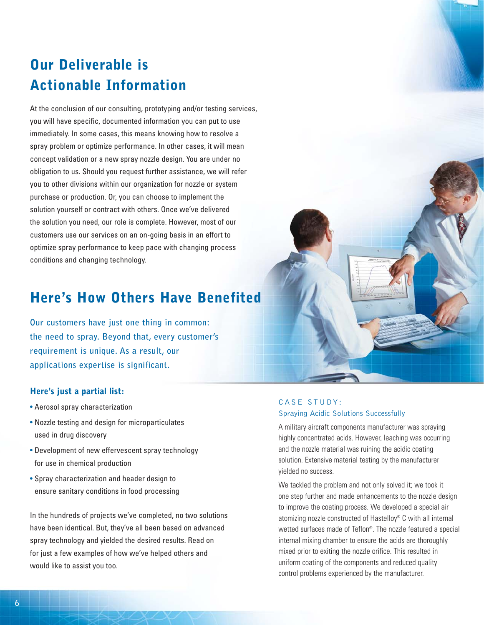### **Our Deliverable is Actionable Information**

At the conclusion of our consulting, prototyping and/or testing services, you will have specific, documented information you can put to use immediately. In some cases, this means knowing how to resolve a spray problem or optimize performance. In other cases, it will mean concept validation or a new spray nozzle design. You are under no obligation to us. Should you request further assistance, we will refer you to other divisions within our organization for nozzle or system purchase or production. Or, you can choose to implement the solution yourself or contract with others. Once we've delivered the solution you need, our role is complete. However, most of our customers use our services on an on-going basis in an effort to optimize spray performance to keep pace with changing process conditions and changing technology.

### **Here's How Others Have Benefited**

**Our customers have just one thing in common: the need to spray. Beyond that, every customer's requirement is unique. As a result, our applications expertise is significant.**

#### **Here's just a partial list:**

- Aerosol spray characterization
- Nozzle testing and design for microparticulates used in drug discovery
- Development of new effervescent spray technology for use in chemical production
- Spray characterization and header design to ensure sanitary conditions in food processing

In the hundreds of projects we've completed, no two solutions have been identical. But, they've all been based on advanced spray technology and yielded the desired results. Read on for just a few examples of how we've helped others and would like to assist you too.

#### CASE STUDY: Spraying Acidic Solutions Successfully

A military aircraft components manufacturer was spraying highly concentrated acids. However, leaching was occurring and the nozzle material was ruining the acidic coating solution. Extensive material testing by the manufacturer yielded no success.

We tackled the problem and not only solved it; we took it one step further and made enhancements to the nozzle design to improve the coating process. We developed a special air atomizing nozzle constructed of Hastelloy® C with all internal wetted surfaces made of Teflon®. The nozzle featured a special internal mixing chamber to ensure the acids are thoroughly mixed prior to exiting the nozzle orifice. This resulted in uniform coating of the components and reduced quality control problems experienced by the manufacturer.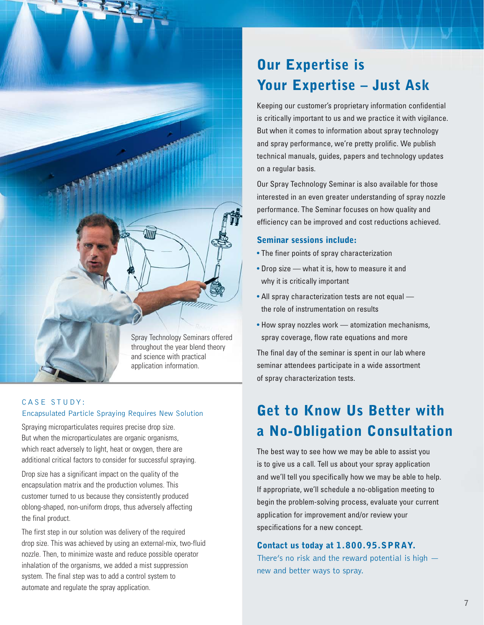

throughout the year blend theory and science with practical application information.

#### CASE STUDY: Encapsulated Particle Spraying Requires New Solution

Spraying microparticulates requires precise drop size. But when the microparticulates are organic organisms, which react adversely to light, heat or oxygen, there are additional critical factors to consider for successful spraying.

Drop size has a significant impact on the quality of the encapsulation matrix and the production volumes. This customer turned to us because they consistently produced oblong-shaped, non-uniform drops, thus adversely affecting the final product.

The first step in our solution was delivery of the required drop size. This was achieved by using an external-mix, two-fluid nozzle. Then, to minimize waste and reduce possible operator inhalation of the organisms, we added a mist suppression system. The final step was to add a control system to automate and regulate the spray application.

### **Our Expertise is Your Expertise – Just Ask**

Keeping our customer's proprietary information confidential is critically important to us and we practice it with vigilance. But when it comes to information about spray technology and spray performance, we're pretty prolific. We publish technical manuals, guides, papers and technology updates on a regular basis.

Our Spray Technology Seminar is also available for those interested in an even greater understanding of spray nozzle performance. The Seminar focuses on how quality and efficiency can be improved and cost reductions achieved.

#### **Seminar sessions include:**

- The finer points of spray characterization
- Drop size what it is, how to measure it and why it is critically important
- All spray characterization tests are not equal the role of instrumentation on results
- How spray nozzles work atomization mechanisms, spray coverage, flow rate equations and more

The final day of the seminar is spent in our lab where seminar attendees participate in a wide assortment of spray characterization tests.

# **Get to Know Us Better with a No-Obligation Consultation**

The best way to see how we may be able to assist you is to give us a call. Tell us about your spray application and we'll tell you specifically how we may be able to help. If appropriate, we'll schedule a no-obligation meeting to begin the problem-solving process, evaluate your current application for improvement and/or review your specifications for a new concept.

#### **Contact us today at 1.800.95.SPRAY.**

There's no risk and the reward potential is high new and better ways to spray.